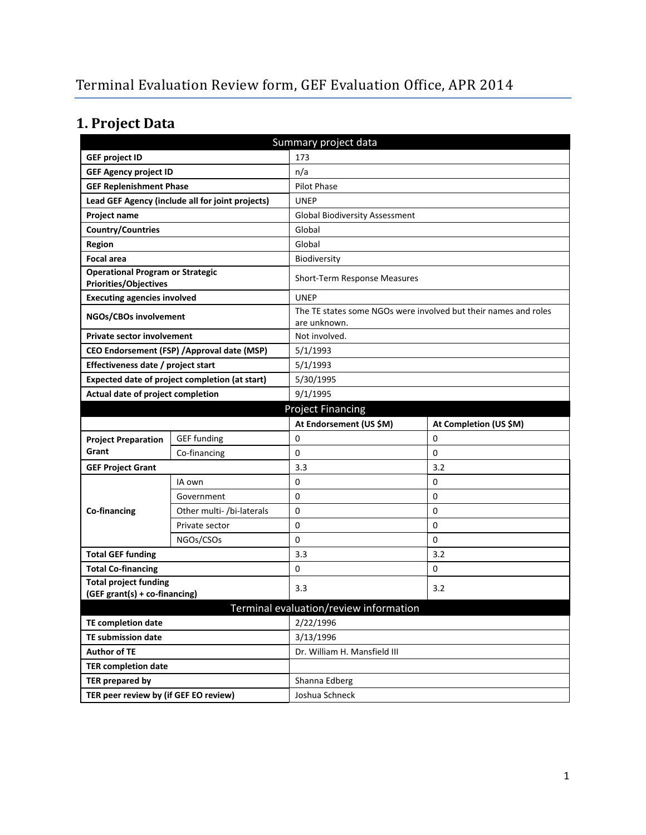# **1. Project Data**

| Summary project data                                                    |                                                  |                                        |                                                                 |  |
|-------------------------------------------------------------------------|--------------------------------------------------|----------------------------------------|-----------------------------------------------------------------|--|
| <b>GEF project ID</b>                                                   |                                                  | 173                                    |                                                                 |  |
| <b>GEF Agency project ID</b>                                            |                                                  | n/a                                    |                                                                 |  |
| <b>GEF Replenishment Phase</b>                                          |                                                  | Pilot Phase                            |                                                                 |  |
|                                                                         | Lead GEF Agency (include all for joint projects) | <b>UNEP</b>                            |                                                                 |  |
| Project name                                                            |                                                  | <b>Global Biodiversity Assessment</b>  |                                                                 |  |
| <b>Country/Countries</b>                                                |                                                  | Global                                 |                                                                 |  |
| Region                                                                  |                                                  | Global                                 |                                                                 |  |
| <b>Focal area</b>                                                       |                                                  | Biodiversity                           |                                                                 |  |
| <b>Operational Program or Strategic</b><br><b>Priorities/Objectives</b> |                                                  | Short-Term Response Measures           |                                                                 |  |
| <b>Executing agencies involved</b>                                      |                                                  | <b>UNEP</b>                            |                                                                 |  |
| NGOs/CBOs involvement                                                   |                                                  | are unknown.                           | The TE states some NGOs were involved but their names and roles |  |
| <b>Private sector involvement</b><br>Not involved.                      |                                                  |                                        |                                                                 |  |
| CEO Endorsement (FSP) / Approval date (MSP)                             |                                                  | 5/1/1993                               |                                                                 |  |
| Effectiveness date / project start                                      |                                                  | 5/1/1993                               |                                                                 |  |
|                                                                         | Expected date of project completion (at start)   | 5/30/1995                              |                                                                 |  |
| Actual date of project completion                                       |                                                  | 9/1/1995                               |                                                                 |  |
| <b>Project Financing</b>                                                |                                                  |                                        |                                                                 |  |
|                                                                         |                                                  | At Endorsement (US \$M)                | At Completion (US \$M)                                          |  |
| <b>Project Preparation</b>                                              | <b>GEF funding</b>                               | 0                                      | 0                                                               |  |
| Grant                                                                   | Co-financing                                     | 0                                      | 0                                                               |  |
| <b>GEF Project Grant</b>                                                |                                                  | 3.3                                    | 3.2                                                             |  |
|                                                                         | IA own                                           | 0                                      | 0                                                               |  |
|                                                                         | Government                                       | 0                                      | 0                                                               |  |
| Co-financing                                                            | Other multi- /bi-laterals                        | 0                                      | 0                                                               |  |
|                                                                         | Private sector                                   | 0                                      | 0                                                               |  |
|                                                                         | NGOs/CSOs                                        | 0                                      | 0                                                               |  |
| <b>Total GEF funding</b>                                                |                                                  | 3.3                                    | 3.2                                                             |  |
| <b>Total Co-financing</b>                                               |                                                  | 0                                      | 0                                                               |  |
| <b>Total project funding</b>                                            |                                                  | 3.3                                    | 3.2                                                             |  |
| (GEF grant(s) + co-financing)                                           |                                                  |                                        |                                                                 |  |
|                                                                         |                                                  | Terminal evaluation/review information |                                                                 |  |
| <b>TE completion date</b>                                               |                                                  | 2/22/1996                              |                                                                 |  |
| <b>TE submission date</b>                                               |                                                  | 3/13/1996                              |                                                                 |  |
| <b>Author of TE</b>                                                     |                                                  | Dr. William H. Mansfield III           |                                                                 |  |
| <b>TER completion date</b>                                              |                                                  |                                        |                                                                 |  |
| <b>TER prepared by</b>                                                  |                                                  | Shanna Edberg                          |                                                                 |  |
| TER peer review by (if GEF EO review)                                   |                                                  | Joshua Schneck                         |                                                                 |  |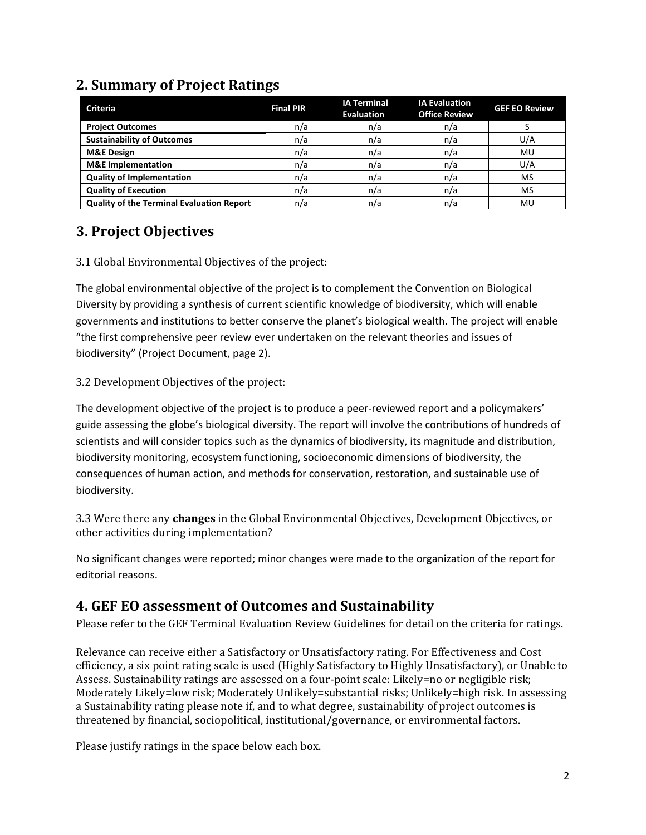#### **Criteria Final PIR IA Terminal Evaluation IA Evaluation Office Review GEF EO Review Project Outcomes and the computation of the computation of the computation of the computation of the computation of the computation of the computation of the computation of the computation of the computation of the comp Sustainability of Outcomes**  $n/a$  | n/a | n/a | U/A **M&E Design | n/a | n/a | MU M&E Implementation**  $n/a$  n/a n/a n/a l U/A **Quality of Implementation**  $\begin{vmatrix} n/a & n/a \end{vmatrix}$  n/a  $\begin{vmatrix} n/a & n/a \end{vmatrix}$  MS **Quality of Execution n/a** n/a n/a n/a n/a n/a n/a MS **Quality of the Terminal Evaluation Report** n/a n/a n/a n/a n/a n/a n/u

## **2. Summary of Project Ratings**

### **3. Project Objectives**

#### 3.1 Global Environmental Objectives of the project:

The global environmental objective of the project is to complement the Convention on Biological Diversity by providing a synthesis of current scientific knowledge of biodiversity, which will enable governments and institutions to better conserve the planet's biological wealth. The project will enable "the first comprehensive peer review ever undertaken on the relevant theories and issues of biodiversity" (Project Document, page 2).

#### 3.2 Development Objectives of the project:

The development objective of the project is to produce a peer-reviewed report and a policymakers' guide assessing the globe's biological diversity. The report will involve the contributions of hundreds of scientists and will consider topics such as the dynamics of biodiversity, its magnitude and distribution, biodiversity monitoring, ecosystem functioning, socioeconomic dimensions of biodiversity, the consequences of human action, and methods for conservation, restoration, and sustainable use of biodiversity.

3.3 Were there any **changes** in the Global Environmental Objectives, Development Objectives, or other activities during implementation?

No significant changes were reported; minor changes were made to the organization of the report for editorial reasons.

### **4. GEF EO assessment of Outcomes and Sustainability**

Please refer to the GEF Terminal Evaluation Review Guidelines for detail on the criteria for ratings.

Relevance can receive either a Satisfactory or Unsatisfactory rating. For Effectiveness and Cost efficiency, a six point rating scale is used (Highly Satisfactory to Highly Unsatisfactory), or Unable to Assess. Sustainability ratings are assessed on a four-point scale: Likely=no or negligible risk; Moderately Likely=low risk; Moderately Unlikely=substantial risks; Unlikely=high risk. In assessing a Sustainability rating please note if, and to what degree, sustainability of project outcomes is threatened by financial, sociopolitical, institutional/governance, or environmental factors.

Please justify ratings in the space below each box.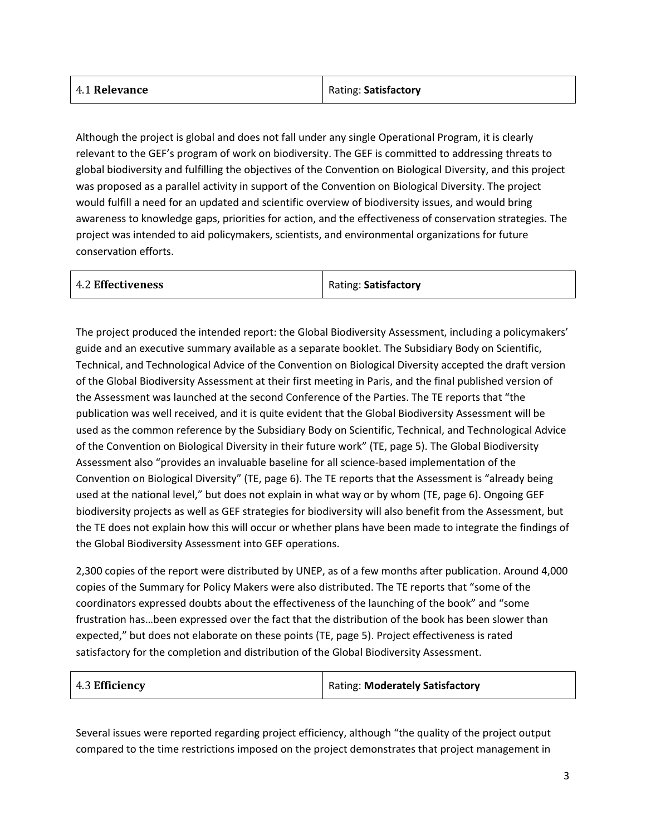| 4.1 Relevance | Rating: Satisfactory |
|---------------|----------------------|
|               |                      |

Although the project is global and does not fall under any single Operational Program, it is clearly relevant to the GEF's program of work on biodiversity. The GEF is committed to addressing threats to global biodiversity and fulfilling the objectives of the Convention on Biological Diversity, and this project was proposed as a parallel activity in support of the Convention on Biological Diversity. The project would fulfill a need for an updated and scientific overview of biodiversity issues, and would bring awareness to knowledge gaps, priorities for action, and the effectiveness of conservation strategies. The project was intended to aid policymakers, scientists, and environmental organizations for future conservation efforts.

| 4.2 Effectiveness | Rating: Satisfactory |
|-------------------|----------------------|
|                   |                      |

The project produced the intended report: the Global Biodiversity Assessment, including a policymakers' guide and an executive summary available as a separate booklet. The Subsidiary Body on Scientific, Technical, and Technological Advice of the Convention on Biological Diversity accepted the draft version of the Global Biodiversity Assessment at their first meeting in Paris, and the final published version of the Assessment was launched at the second Conference of the Parties. The TE reports that "the publication was well received, and it is quite evident that the Global Biodiversity Assessment will be used as the common reference by the Subsidiary Body on Scientific, Technical, and Technological Advice of the Convention on Biological Diversity in their future work" (TE, page 5). The Global Biodiversity Assessment also "provides an invaluable baseline for all science-based implementation of the Convention on Biological Diversity" (TE, page 6). The TE reports that the Assessment is "already being used at the national level," but does not explain in what way or by whom (TE, page 6). Ongoing GEF biodiversity projects as well as GEF strategies for biodiversity will also benefit from the Assessment, but the TE does not explain how this will occur or whether plans have been made to integrate the findings of the Global Biodiversity Assessment into GEF operations.

2,300 copies of the report were distributed by UNEP, as of a few months after publication. Around 4,000 copies of the Summary for Policy Makers were also distributed. The TE reports that "some of the coordinators expressed doubts about the effectiveness of the launching of the book" and "some frustration has…been expressed over the fact that the distribution of the book has been slower than expected," but does not elaborate on these points (TE, page 5). Project effectiveness is rated satisfactory for the completion and distribution of the Global Biodiversity Assessment.

|  | 4.3 Efficiency | Rating: Moderately Satisfactory |
|--|----------------|---------------------------------|
|--|----------------|---------------------------------|

Several issues were reported regarding project efficiency, although "the quality of the project output compared to the time restrictions imposed on the project demonstrates that project management in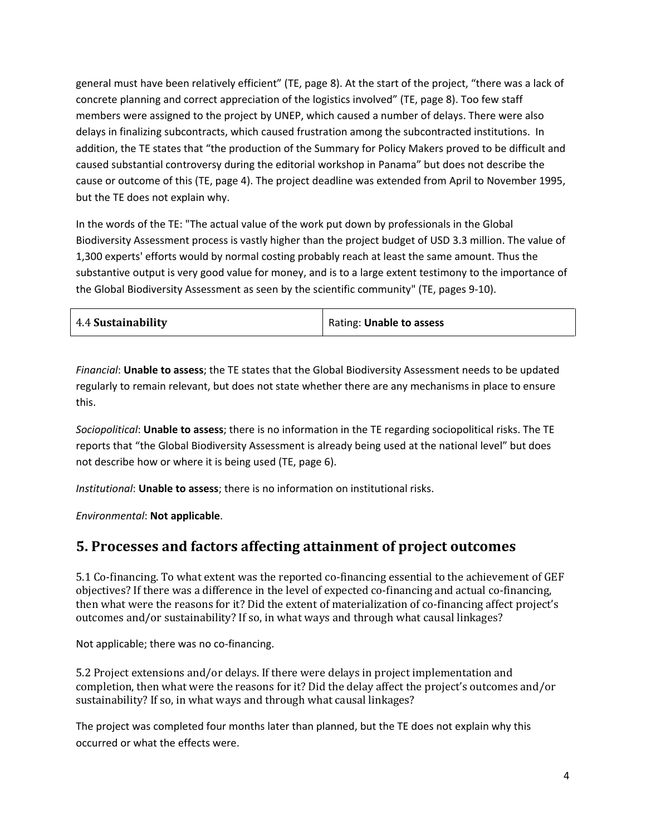general must have been relatively efficient" (TE, page 8). At the start of the project, "there was a lack of concrete planning and correct appreciation of the logistics involved" (TE, page 8). Too few staff members were assigned to the project by UNEP, which caused a number of delays. There were also delays in finalizing subcontracts, which caused frustration among the subcontracted institutions. In addition, the TE states that "the production of the Summary for Policy Makers proved to be difficult and caused substantial controversy during the editorial workshop in Panama" but does not describe the cause or outcome of this (TE, page 4). The project deadline was extended from April to November 1995, but the TE does not explain why.

In the words of the TE: "The actual value of the work put down by professionals in the Global Biodiversity Assessment process is vastly higher than the project budget of USD 3.3 million. The value of 1,300 experts' efforts would by normal costing probably reach at least the same amount. Thus the substantive output is very good value for money, and is to a large extent testimony to the importance of the Global Biodiversity Assessment as seen by the scientific community" (TE, pages 9-10).

| 4.4 Sustainability | Rating: Unable to assess |
|--------------------|--------------------------|
|--------------------|--------------------------|

*Financial*: **Unable to assess**; the TE states that the Global Biodiversity Assessment needs to be updated regularly to remain relevant, but does not state whether there are any mechanisms in place to ensure this.

*Sociopolitical*: **Unable to assess**; there is no information in the TE regarding sociopolitical risks. The TE reports that "the Global Biodiversity Assessment is already being used at the national level" but does not describe how or where it is being used (TE, page 6).

*Institutional*: **Unable to assess**; there is no information on institutional risks.

*Environmental*: **Not applicable**.

### **5. Processes and factors affecting attainment of project outcomes**

5.1 Co-financing. To what extent was the reported co-financing essential to the achievement of GEF objectives? If there was a difference in the level of expected co-financing and actual co-financing, then what were the reasons for it? Did the extent of materialization of co-financing affect project's outcomes and/or sustainability? If so, in what ways and through what causal linkages?

Not applicable; there was no co-financing.

5.2 Project extensions and/or delays. If there were delays in project implementation and completion, then what were the reasons for it? Did the delay affect the project's outcomes and/or sustainability? If so, in what ways and through what causal linkages?

The project was completed four months later than planned, but the TE does not explain why this occurred or what the effects were.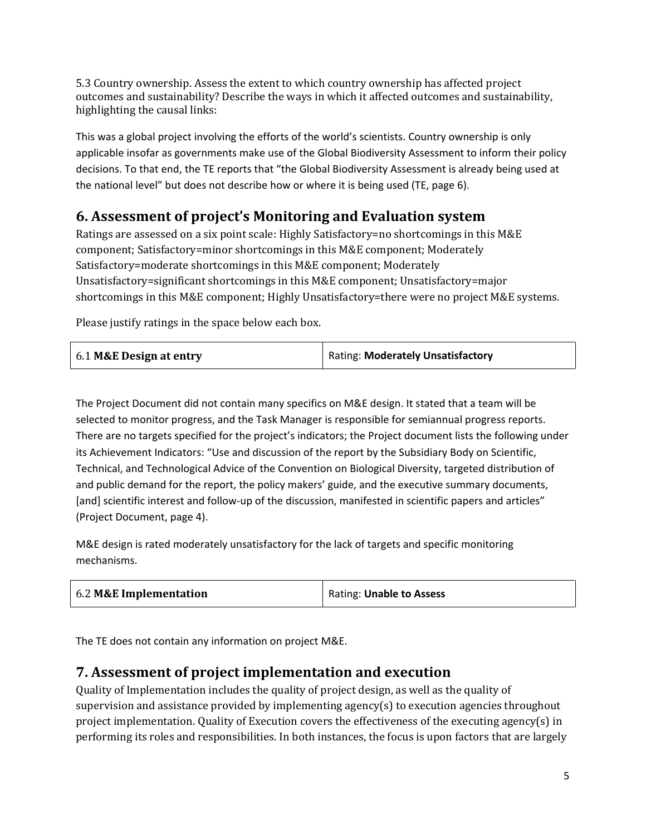5.3 Country ownership. Assess the extent to which country ownership has affected project outcomes and sustainability? Describe the ways in which it affected outcomes and sustainability, highlighting the causal links:

This was a global project involving the efforts of the world's scientists. Country ownership is only applicable insofar as governments make use of the Global Biodiversity Assessment to inform their policy decisions. To that end, the TE reports that "the Global Biodiversity Assessment is already being used at the national level" but does not describe how or where it is being used (TE, page 6).

## **6. Assessment of project's Monitoring and Evaluation system**

Ratings are assessed on a six point scale: Highly Satisfactory=no shortcomings in this M&E component; Satisfactory=minor shortcomings in this M&E component; Moderately Satisfactory=moderate shortcomings in this M&E component; Moderately Unsatisfactory=significant shortcomings in this M&E component; Unsatisfactory=major shortcomings in this M&E component; Highly Unsatisfactory=there were no project M&E systems.

Please justify ratings in the space below each box.

| 6.1 M&E Design at entry | Rating: Moderately Unsatisfactory |
|-------------------------|-----------------------------------|
|-------------------------|-----------------------------------|

The Project Document did not contain many specifics on M&E design. It stated that a team will be selected to monitor progress, and the Task Manager is responsible for semiannual progress reports. There are no targets specified for the project's indicators; the Project document lists the following under its Achievement Indicators: "Use and discussion of the report by the Subsidiary Body on Scientific, Technical, and Technological Advice of the Convention on Biological Diversity, targeted distribution of and public demand for the report, the policy makers' guide, and the executive summary documents, [and] scientific interest and follow-up of the discussion, manifested in scientific papers and articles" (Project Document, page 4).

M&E design is rated moderately unsatisfactory for the lack of targets and specific monitoring mechanisms.

| 6.2 M&E Implementation | Rating: Unable to Assess |
|------------------------|--------------------------|
|------------------------|--------------------------|

The TE does not contain any information on project M&E.

### **7. Assessment of project implementation and execution**

Quality of Implementation includes the quality of project design, as well as the quality of supervision and assistance provided by implementing agency(s) to execution agencies throughout project implementation. Quality of Execution covers the effectiveness of the executing agency(s) in performing its roles and responsibilities. In both instances, the focus is upon factors that are largely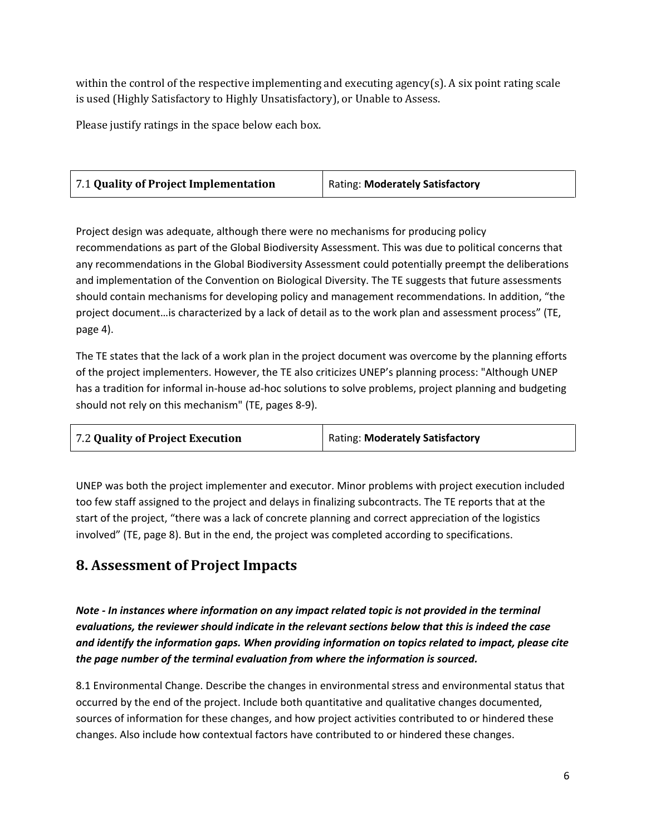within the control of the respective implementing and executing agency(s). A six point rating scale is used (Highly Satisfactory to Highly Unsatisfactory), or Unable to Assess.

Please justify ratings in the space below each box.

Project design was adequate, although there were no mechanisms for producing policy recommendations as part of the Global Biodiversity Assessment. This was due to political concerns that any recommendations in the Global Biodiversity Assessment could potentially preempt the deliberations and implementation of the Convention on Biological Diversity. The TE suggests that future assessments should contain mechanisms for developing policy and management recommendations. In addition, "the project document…is characterized by a lack of detail as to the work plan and assessment process" (TE, page 4).

The TE states that the lack of a work plan in the project document was overcome by the planning efforts of the project implementers. However, the TE also criticizes UNEP's planning process: "Although UNEP has a tradition for informal in-house ad-hoc solutions to solve problems, project planning and budgeting should not rely on this mechanism" (TE, pages 8-9).

| Rating: Moderately Satisfactory |
|---------------------------------|
|                                 |

UNEP was both the project implementer and executor. Minor problems with project execution included too few staff assigned to the project and delays in finalizing subcontracts. The TE reports that at the start of the project, "there was a lack of concrete planning and correct appreciation of the logistics involved" (TE, page 8). But in the end, the project was completed according to specifications.

### **8. Assessment of Project Impacts**

*Note - In instances where information on any impact related topic is not provided in the terminal evaluations, the reviewer should indicate in the relevant sections below that this is indeed the case and identify the information gaps. When providing information on topics related to impact, please cite the page number of the terminal evaluation from where the information is sourced.* 

8.1 Environmental Change. Describe the changes in environmental stress and environmental status that occurred by the end of the project. Include both quantitative and qualitative changes documented, sources of information for these changes, and how project activities contributed to or hindered these changes. Also include how contextual factors have contributed to or hindered these changes.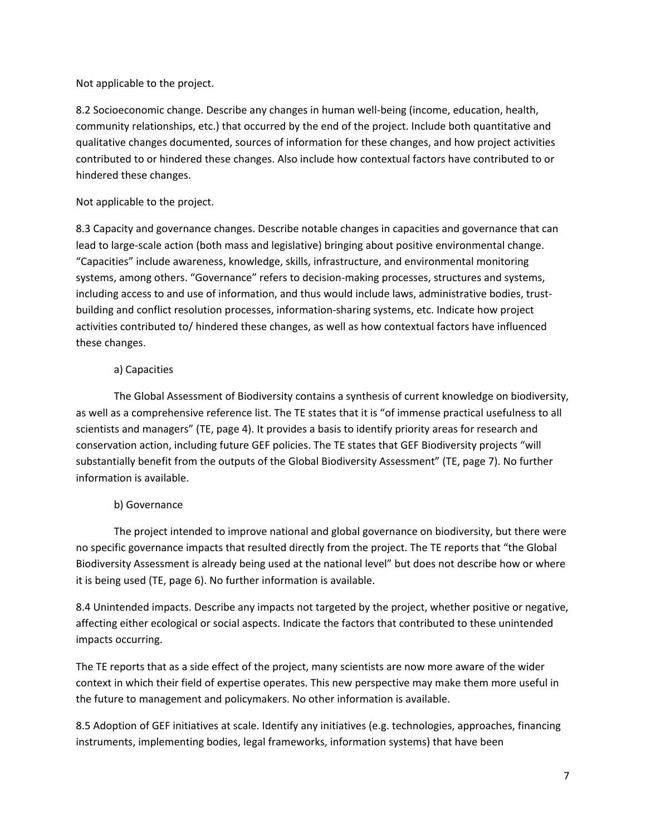Not applicable to the project.

8.2 Socioeconomic change. Describe any changes in human well-being (income, education, health, community relationships, etc.) that occurred by the end of the project. Include both quantitative and qualitative changes documented, sources of information for these changes, and how project activities contributed to or hindered these changes. Also include how contextual factors have contributed to or hindered these changes.

#### Not applicable to the project.

8.3 Capacity and governance changes. Describe notable changes in capacities and governance that can lead to large-scale action (both mass and legislative) bringing about positive environmental change. "Capacities" include awareness, knowledge, skills, infrastructure, and environmental monitoring systems, among others. "Governance" refers to decision-making processes, structures and systems, including access to and use of information, and thus would include laws, administrative bodies, trustbuilding and conflict resolution processes, information-sharing systems, etc. Indicate how project activities contributed to/ hindered these changes, as well as how contextual factors have influenced these changes.

#### a) Capacities

The Global Assessment of Biodiversity contains a synthesis of current knowledge on biodiversity, as well as a comprehensive reference list. The TE states that it is "of immense practical usefulness to all scientists and managers" (TE, page 4). It provides a basis to identify priority areas for research and conservation action, including future GEF policies. The TE states that GEF Biodiversity projects "will substantially benefit from the outputs of the Global Biodiversity Assessment" (TE, page 7). No further information is available.

#### b) Governance

The project intended to improve national and global governance on biodiversity, but there were no specific governance impacts that resulted directly from the project. The TE reports that "the Global Biodiversity Assessment is already being used at the national level" but does not describe how or where it is being used (TE, page 6). No further information is available.

8.4 Unintended impacts. Describe any impacts not targeted by the project, whether positive or negative, affecting either ecological or social aspects. Indicate the factors that contributed to these unintended impacts occurring.

The TE reports that as a side effect of the project, many scientists are now more aware of the wider context in which their field of expertise operates. This new perspective may make them more useful in the future to management and policymakers. No other information is available.

8.5 Adoption of GEF initiatives at scale. Identify any initiatives (e.g. technologies, approaches, financing instruments, implementing bodies, legal frameworks, information systems) that have been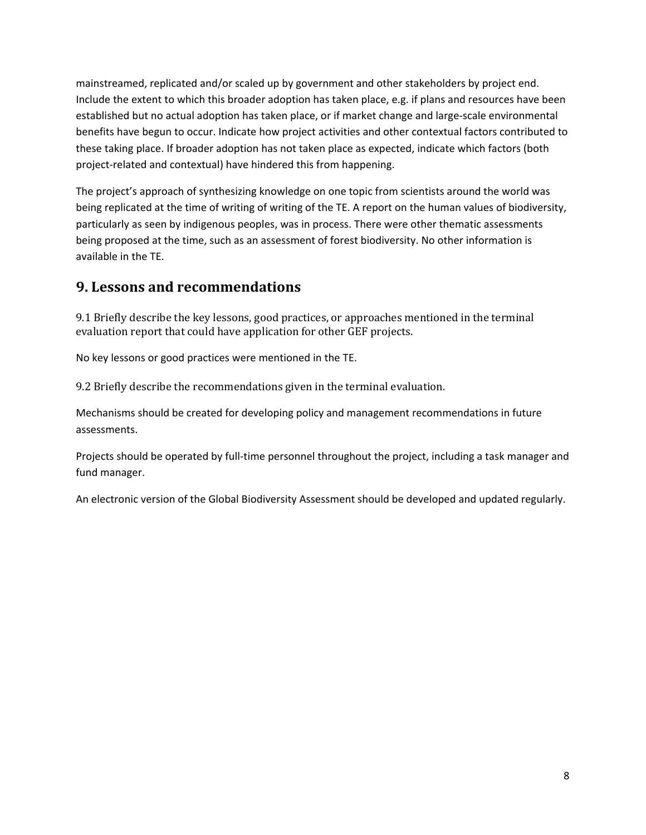mainstreamed, replicated and/or scaled up by government and other stakeholders by project end. Include the extent to which this broader adoption has taken place, e.g. if plans and resources have been established but no actual adoption has taken place, or if market change and large-scale environmental benefits have begun to occur. Indicate how project activities and other contextual factors contributed to these taking place. If broader adoption has not taken place as expected, indicate which factors (both project-related and contextual) have hindered this from happening.

The project's approach of synthesizing knowledge on one topic from scientists around the world was being replicated at the time of writing of writing of the TE. A report on the human values of biodiversity, particularly as seen by indigenous peoples, was in process. There were other thematic assessments being proposed at the time, such as an assessment of forest biodiversity. No other information is available in the TE.

### **9. Lessons and recommendations**

9.1 Briefly describe the key lessons, good practices, or approaches mentioned in the terminal evaluation report that could have application for other GEF projects.

No key lessons or good practices were mentioned in the TE.

9.2 Briefly describe the recommendations given in the terminal evaluation.

Mechanisms should be created for developing policy and management recommendations in future assessments.

Projects should be operated by full-time personnel throughout the project, including a task manager and fund manager.

An electronic version of the Global Biodiversity Assessment should be developed and updated regularly.